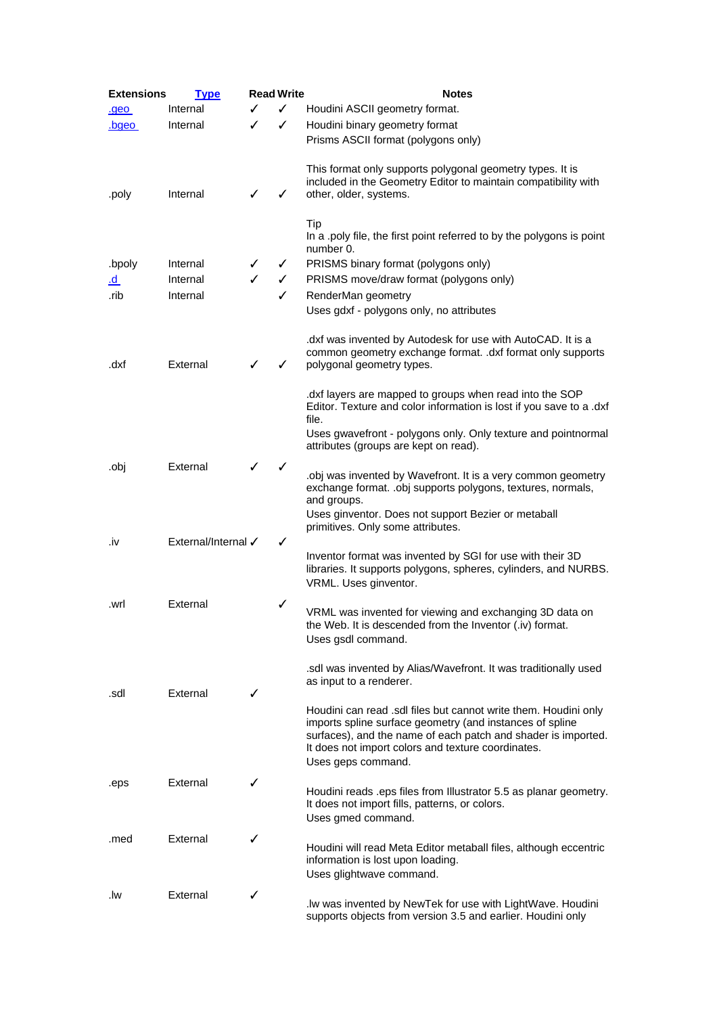| <b>Extensions</b> | <u>Type</u>         | <b>Read Write</b> |   | <b>Notes</b>                                                                              |
|-------------------|---------------------|-------------------|---|-------------------------------------------------------------------------------------------|
| <u>.geo</u>       | Internal            |                   | ✓ | Houdini ASCII geometry format.                                                            |
| .bgeo             | Internal            | ✓                 | ✓ | Houdini binary geometry format                                                            |
|                   |                     |                   |   | Prisms ASCII format (polygons only)                                                       |
|                   |                     |                   |   |                                                                                           |
|                   |                     |                   |   | This format only supports polygonal geometry types. It is                                 |
|                   |                     |                   |   | included in the Geometry Editor to maintain compatibility with                            |
| .poly             | Internal            | ✓                 | ✓ | other, older, systems.                                                                    |
|                   |                     |                   |   | Tip                                                                                       |
|                   |                     |                   |   | In a .poly file, the first point referred to by the polygons is point                     |
|                   |                     |                   |   | number 0.                                                                                 |
| .bpoly            | Internal            | ✓                 | ✓ | PRISMS binary format (polygons only)                                                      |
| <u>.d</u>         | Internal            | ✓                 | ✓ | PRISMS move/draw format (polygons only)                                                   |
| .rib              | Internal            |                   | ✓ | RenderMan geometry                                                                        |
|                   |                     |                   |   | Uses gdxf - polygons only, no attributes                                                  |
|                   |                     |                   |   |                                                                                           |
|                   |                     |                   |   | dxf was invented by Autodesk for use with AutoCAD. It is a                                |
|                   | External            |                   |   | common geometry exchange format. .dxf format only supports                                |
| .dxf              |                     | ✓                 | ✓ | polygonal geometry types.                                                                 |
|                   |                     |                   |   | dxf layers are mapped to groups when read into the SOP                                    |
|                   |                     |                   |   | Editor. Texture and color information is lost if you save to a .dxf                       |
|                   |                     |                   |   | file.                                                                                     |
|                   |                     |                   |   | Uses gwavefront - polygons only. Only texture and pointnormal                             |
|                   |                     |                   |   | attributes (groups are kept on read).                                                     |
| .obj              | External            | ✓                 | ✓ | obj was invented by Wavefront. It is a very common geometry                               |
|                   |                     |                   |   | exchange format. .obj supports polygons, textures, normals,                               |
|                   |                     |                   |   | and groups.                                                                               |
|                   |                     |                   |   | Uses ginventor. Does not support Bezier or metaball                                       |
|                   |                     |                   |   | primitives. Only some attributes.                                                         |
| .iv               | External/Internal √ |                   | ✓ | Inventor format was invented by SGI for use with their 3D                                 |
|                   |                     |                   |   | libraries. It supports polygons, spheres, cylinders, and NURBS.                           |
|                   |                     |                   |   | VRML. Uses ginventor.                                                                     |
|                   | External            |                   | ✓ |                                                                                           |
| .wrl              |                     |                   |   | VRML was invented for viewing and exchanging 3D data on                                   |
|                   |                     |                   |   | the Web. It is descended from the Inventor (.iv) format.                                  |
|                   |                     |                   |   | Uses gsdl command.                                                                        |
|                   |                     |                   |   |                                                                                           |
|                   |                     |                   |   | sdl was invented by Alias/Wavefront. It was traditionally used<br>as input to a renderer. |
| .sdl              | External            | ✓                 |   |                                                                                           |
|                   |                     |                   |   | Houdini can read .sdl files but cannot write them. Houdini only                           |
|                   |                     |                   |   | imports spline surface geometry (and instances of spline                                  |
|                   |                     |                   |   | surfaces), and the name of each patch and shader is imported.                             |
|                   |                     |                   |   | It does not import colors and texture coordinates.                                        |
|                   |                     |                   |   | Uses geps command.                                                                        |
| .eps              | External            | ✓                 |   | Houdini reads .eps files from Illustrator 5.5 as planar geometry.                         |
|                   |                     |                   |   | It does not import fills, patterns, or colors.                                            |
|                   |                     |                   |   | Uses gmed command.                                                                        |
| .med              | External            | ✓                 |   |                                                                                           |
|                   |                     |                   |   | Houdini will read Meta Editor metaball files, although eccentric                          |
|                   |                     |                   |   | information is lost upon loading.                                                         |
|                   |                     |                   |   | Uses glightwave command.                                                                  |
| .lw               | External            | ✓                 |   | . Iw was invented by NewTek for use with LightWave. Houdini                               |
|                   |                     |                   |   | supports objects from version 3.5 and earlier. Houdini only                               |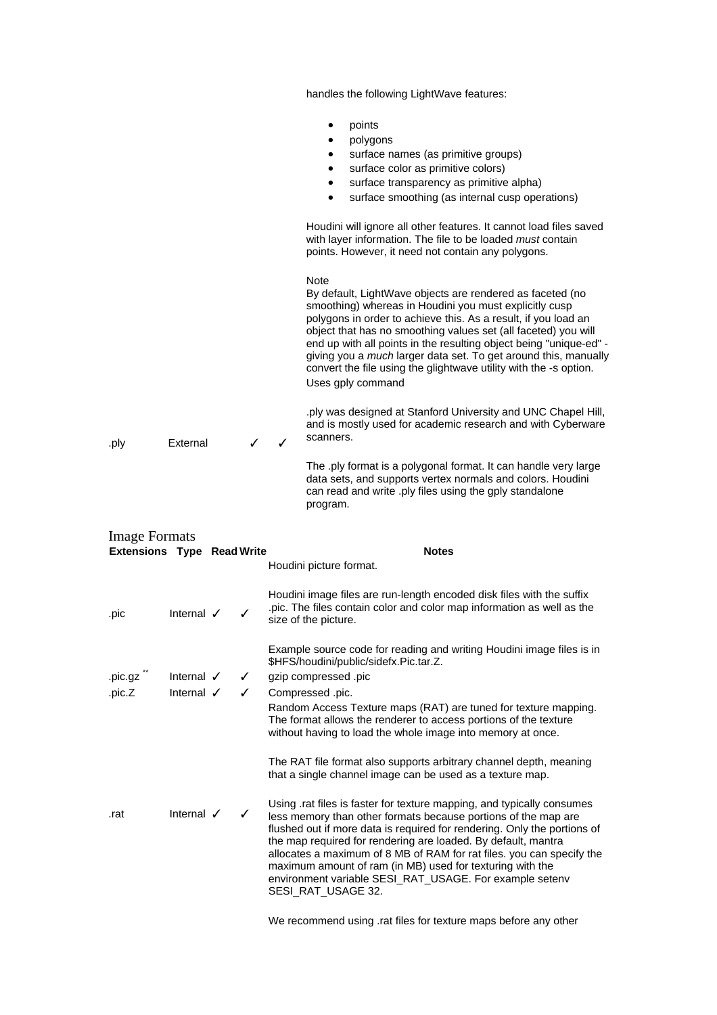|                                                           |                                                |        | handles the following LightWave features:                                                                                                                                                                                                                                                                                                                                                                                                                                                                        |
|-----------------------------------------------------------|------------------------------------------------|--------|------------------------------------------------------------------------------------------------------------------------------------------------------------------------------------------------------------------------------------------------------------------------------------------------------------------------------------------------------------------------------------------------------------------------------------------------------------------------------------------------------------------|
|                                                           |                                                |        | points<br>polygons<br>surface names (as primitive groups)<br>surface color as primitive colors)<br>surface transparency as primitive alpha)<br>٠<br>surface smoothing (as internal cusp operations)<br>$\bullet$<br>Houdini will ignore all other features. It cannot load files saved                                                                                                                                                                                                                           |
|                                                           |                                                |        | with layer information. The file to be loaded must contain<br>points. However, it need not contain any polygons.                                                                                                                                                                                                                                                                                                                                                                                                 |
|                                                           |                                                |        | <b>Note</b><br>By default, LightWave objects are rendered as faceted (no<br>smoothing) whereas in Houdini you must explicitly cusp<br>polygons in order to achieve this. As a result, if you load an<br>object that has no smoothing values set (all faceted) you will<br>end up with all points in the resulting object being "unique-ed" -<br>giving you a <i>much</i> larger data set. To get around this, manually<br>convert the file using the glightwave utility with the -s option.<br>Uses gply command |
| .ply                                                      | External                                       | ✓      | .ply was designed at Stanford University and UNC Chapel Hill,<br>and is mostly used for academic research and with Cyberware<br>scanners.<br>✓                                                                                                                                                                                                                                                                                                                                                                   |
|                                                           |                                                |        | The .ply format is a polygonal format. It can handle very large<br>data sets, and supports vertex normals and colors. Houdini<br>can read and write .ply files using the gply standalone<br>program.                                                                                                                                                                                                                                                                                                             |
| <b>Image Formats</b><br><b>Extensions Type Read Write</b> |                                                |        | <b>Notes</b><br>Houdini picture format.                                                                                                                                                                                                                                                                                                                                                                                                                                                                          |
| .pic                                                      | Internal $\checkmark$                          | ✓      | Houdini image files are run-length encoded disk files with the suffix<br>pic. The files contain color and color map information as well as the<br>size of the picture.                                                                                                                                                                                                                                                                                                                                           |
| .pic.gz "<br>.pic.Z                                       | Internal $\checkmark$<br>Internal $\checkmark$ | ✓<br>✓ | Example source code for reading and writing Houdini image files is in<br>\$HFS/houdini/public/sidefx.Pic.tar.Z.<br>gzip compressed .pic<br>Compressed .pic.                                                                                                                                                                                                                                                                                                                                                      |
|                                                           |                                                |        | Random Access Texture maps (RAT) are tuned for texture mapping.<br>The format allows the renderer to access portions of the texture<br>without having to load the whole image into memory at once.                                                                                                                                                                                                                                                                                                               |
|                                                           |                                                |        | The RAT file format also supports arbitrary channel depth, meaning<br>that a single channel image can be used as a texture map.                                                                                                                                                                                                                                                                                                                                                                                  |
| .rat                                                      | Internal $\checkmark$                          | ✓      | Using rat files is faster for texture mapping, and typically consumes<br>less memory than other formats because portions of the map are<br>flushed out if more data is required for rendering. Only the portions of<br>the map required for rendering are loaded. By default, mantra<br>allocates a maximum of 8 MB of RAM for rat files. you can specify the<br>maximum amount of ram (in MB) used for texturing with the<br>environment variable SESI_RAT_USAGE. For example setenv<br>SESI_RAT_USAGE 32.      |

We recommend using .rat files for texture maps before any other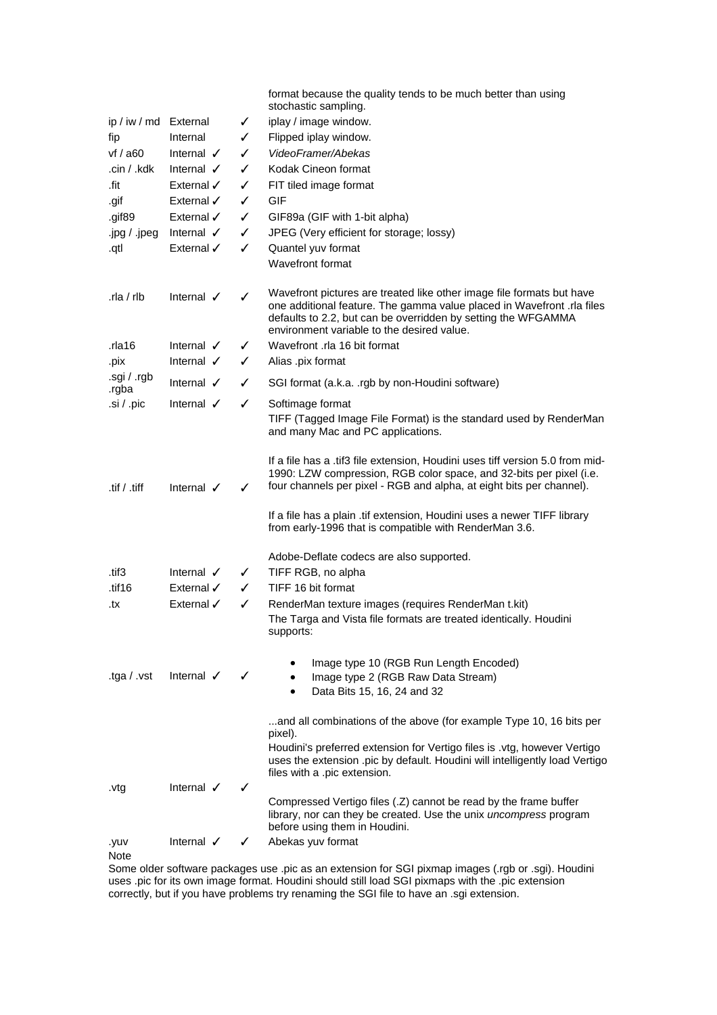|                      |                       |   | format because the quality tends to be much better than using<br>stochastic sampling.                                                                                                                                                                          |
|----------------------|-----------------------|---|----------------------------------------------------------------------------------------------------------------------------------------------------------------------------------------------------------------------------------------------------------------|
| ip / iw / md         | External              | ✓ | iplay / image window.                                                                                                                                                                                                                                          |
| fip                  | Internal              | ✓ | Flipped iplay window.                                                                                                                                                                                                                                          |
| vf / a60             | Internal $\checkmark$ | ✓ | VideoFramer/Abekas                                                                                                                                                                                                                                             |
| .cin / .kdk          | Internal $\checkmark$ | ✓ | Kodak Cineon format                                                                                                                                                                                                                                            |
| .fit                 | External $\checkmark$ | ✓ | FIT tiled image format                                                                                                                                                                                                                                         |
| .gif                 | External $\checkmark$ | ✓ | <b>GIF</b>                                                                                                                                                                                                                                                     |
| .gif89               | External $\checkmark$ | ✓ | GIF89a (GIF with 1-bit alpha)                                                                                                                                                                                                                                  |
| .jpg / .jpeg         | Internal $\checkmark$ | ✓ | JPEG (Very efficient for storage; lossy)                                                                                                                                                                                                                       |
| .qtl                 | External √            | ✓ | Quantel yuv format                                                                                                                                                                                                                                             |
|                      |                       |   | Wavefront format                                                                                                                                                                                                                                               |
| $rla$ / rlb          | Internal $\checkmark$ | ✓ | Wavefront pictures are treated like other image file formats but have<br>one additional feature. The gamma value placed in Wavefront .rla files<br>defaults to 2.2, but can be overridden by setting the WFGAMMA<br>environment variable to the desired value. |
| .rla16               | Internal $\checkmark$ | ✓ | Wavefront .rla 16 bit format                                                                                                                                                                                                                                   |
| .pix                 | Internal V            | ✓ | Alias .pix format                                                                                                                                                                                                                                              |
| .sgi / .rgb<br>.rgba | Internal $\checkmark$ | ✓ | SGI format (a.k.a. .rgb by non-Houdini software)                                                                                                                                                                                                               |
| .si / .pic           | Internal $\checkmark$ | ✓ | Softimage format<br>TIFF (Tagged Image File Format) is the standard used by RenderMan<br>and many Mac and PC applications.                                                                                                                                     |
| .tif / .tiff         | Internal $\checkmark$ | ✓ | If a file has a .tif3 file extension, Houdini uses tiff version 5.0 from mid-<br>1990: LZW compression, RGB color space, and 32-bits per pixel (i.e.<br>four channels per pixel - RGB and alpha, at eight bits per channel).                                   |
|                      |                       |   | If a file has a plain .tif extension, Houdini uses a newer TIFF library<br>from early-1996 that is compatible with RenderMan 3.6.                                                                                                                              |
|                      |                       |   | Adobe-Deflate codecs are also supported.                                                                                                                                                                                                                       |
| .tif3                | Internal $\checkmark$ | ✓ | TIFF RGB, no alpha                                                                                                                                                                                                                                             |
| .tif16               | External √            | ✓ | TIFF 16 bit format                                                                                                                                                                                                                                             |
| .tx                  | External √            | ✓ | RenderMan texture images (requires RenderMan t.kit)<br>The Targa and Vista file formats are treated identically. Houdini<br>supports:                                                                                                                          |
| tga $/$ .vst         | Internal $\checkmark$ |   | Image type 10 (RGB Run Length Encoded)<br>Image type 2 (RGB Raw Data Stream)<br>Data Bits 15, 16, 24 and 32                                                                                                                                                    |
|                      |                       |   | and all combinations of the above (for example Type 10, 16 bits per<br>pixel).                                                                                                                                                                                 |
|                      |                       |   | Houdini's preferred extension for Vertigo files is .vtg, however Vertigo<br>uses the extension .pic by default. Houdini will intelligently load Vertigo<br>files with a .pic extension.                                                                        |
| .vtg                 | Internal $\checkmark$ | ✓ | Compressed Vertigo files (.Z) cannot be read by the frame buffer<br>library, nor can they be created. Use the unix <i>uncompress</i> program<br>before using them in Houdini.                                                                                  |
| .yuv<br>Note         | Internal $\checkmark$ | ✓ | Abekas yuv format                                                                                                                                                                                                                                              |

Some older software packages use .pic as an extension for SGI pixmap images (.rgb or .sgi). Houdini uses .pic for its own image format. Houdini should still load SGI pixmaps with the .pic extension correctly, but if you have problems try renaming the SGI file to have an .sgi extension.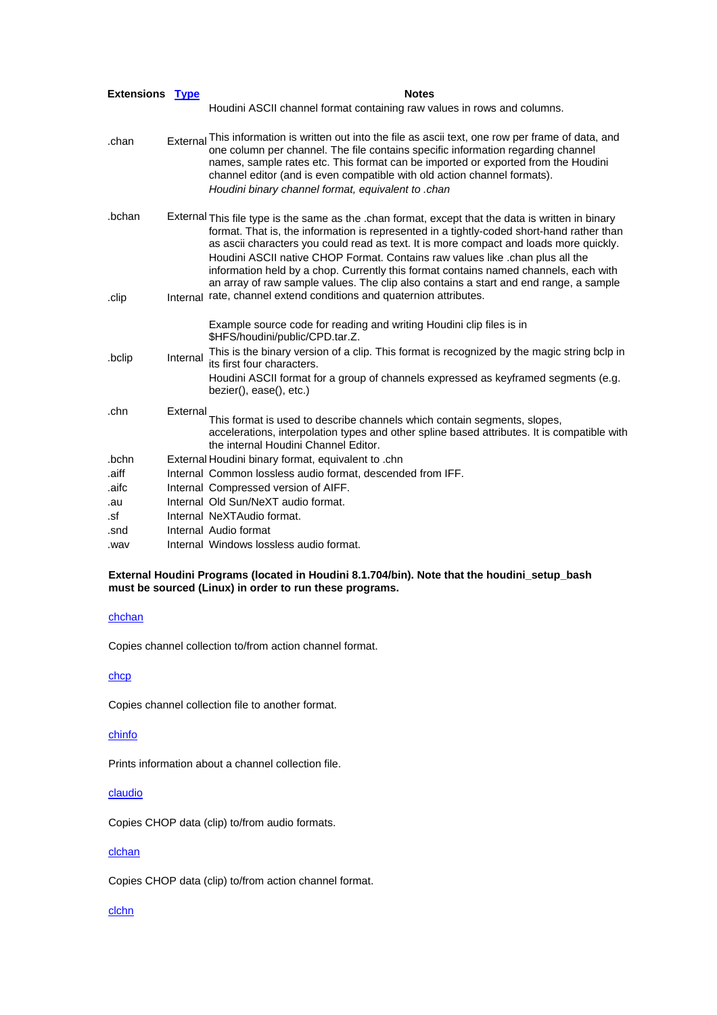| Extensions Type |          | <b>Notes</b>                                                                                                                                                                                                                                                                                                                                                                                                                                                                                                                                                |
|-----------------|----------|-------------------------------------------------------------------------------------------------------------------------------------------------------------------------------------------------------------------------------------------------------------------------------------------------------------------------------------------------------------------------------------------------------------------------------------------------------------------------------------------------------------------------------------------------------------|
|                 |          | Houdini ASCII channel format containing raw values in rows and columns.                                                                                                                                                                                                                                                                                                                                                                                                                                                                                     |
| .chan           | External | This information is written out into the file as ascii text, one row per frame of data, and<br>one column per channel. The file contains specific information regarding channel<br>names, sample rates etc. This format can be imported or exported from the Houdini<br>channel editor (and is even compatible with old action channel formats).<br>Houdini binary channel format, equivalent to .chan                                                                                                                                                      |
| .bchan          |          | External This file type is the same as the .chan format, except that the data is written in binary<br>format. That is, the information is represented in a tightly-coded short-hand rather than<br>as ascii characters you could read as text. It is more compact and loads more quickly.<br>Houdini ASCII native CHOP Format. Contains raw values like .chan plus all the<br>information held by a chop. Currently this format contains named channels, each with<br>an array of raw sample values. The clip also contains a start and end range, a sample |
| .clip           |          | Internal rate, channel extend conditions and quaternion attributes.                                                                                                                                                                                                                                                                                                                                                                                                                                                                                         |
|                 |          | Example source code for reading and writing Houdini clip files is in<br>\$HFS/houdini/public/CPD.tar.Z.                                                                                                                                                                                                                                                                                                                                                                                                                                                     |
| .bclip          | Internal | This is the binary version of a clip. This format is recognized by the magic string bclp in<br>its first four characters.                                                                                                                                                                                                                                                                                                                                                                                                                                   |
|                 |          | Houdini ASCII format for a group of channels expressed as keyframed segments (e.g.<br>bezier(), ease(), etc.)                                                                                                                                                                                                                                                                                                                                                                                                                                               |
| .chn            | External | This format is used to describe channels which contain segments, slopes,<br>accelerations, interpolation types and other spline based attributes. It is compatible with<br>the internal Houdini Channel Editor.                                                                                                                                                                                                                                                                                                                                             |
| .bchn           |          | External Houdini binary format, equivalent to .chn                                                                                                                                                                                                                                                                                                                                                                                                                                                                                                          |
| .aiff           |          | Internal Common lossless audio format, descended from IFF.                                                                                                                                                                                                                                                                                                                                                                                                                                                                                                  |
| .aifc           |          | Internal Compressed version of AIFF.                                                                                                                                                                                                                                                                                                                                                                                                                                                                                                                        |
| .au             |          | Internal Old Sun/NeXT audio format.                                                                                                                                                                                                                                                                                                                                                                                                                                                                                                                         |
| .sf             |          | Internal NeXTAudio format.                                                                                                                                                                                                                                                                                                                                                                                                                                                                                                                                  |
| .snd            |          | Internal Audio format                                                                                                                                                                                                                                                                                                                                                                                                                                                                                                                                       |
| .wav            |          | Internal Windows lossless audio format.                                                                                                                                                                                                                                                                                                                                                                                                                                                                                                                     |

#### **External Houdini Programs (located in Houdini 8.1.704/bin). Note that the houdini\_setup\_bash must be sourced (Linux) in order to run these programs.**

# chchan

Copies channel collection to/from action channel format.

## chcp

Copies channel collection file to another format.

## chinfo

Prints information about a channel collection file.

### claudio

Copies CHOP data (clip) to/from audio formats.

## clchan

Copies CHOP data (clip) to/from action channel format.

### **clchn**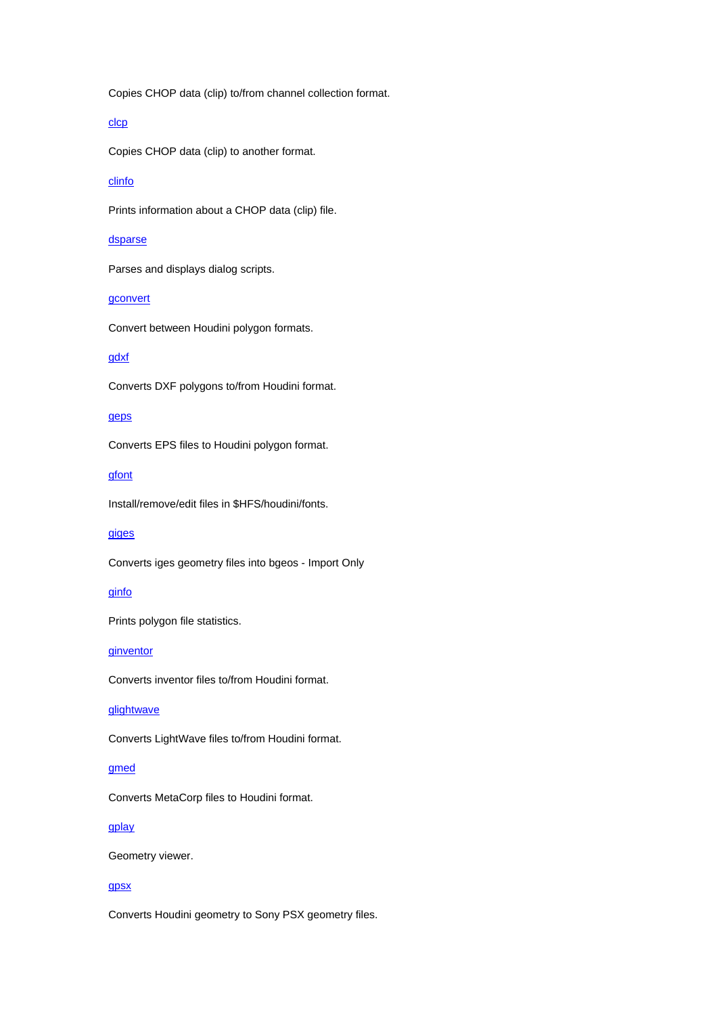Copies CHOP data (clip) to/from channel collection format.

# clcp

Copies CHOP data (clip) to another format.

# clinfo

Prints information about a CHOP data (clip) file.

### dsparse

Parses and displays dialog scripts.

# **gconvert**

Convert between Houdini polygon formats.

# gdxf

Converts DXF polygons to/from Houdini format.

# geps

Converts EPS files to Houdini polygon format.

## gfont

Install/remove/edit files in \$HFS/houdini/fonts.

# giges

Converts iges geometry files into bgeos - Import Only

#### ginfo

Prints polygon file statistics.

#### **ginventor**

Converts inventor files to/from Houdini format.

# glightwave

Converts LightWave files to/from Houdini format.

### gmed

Converts MetaCorp files to Houdini format.

## gplay

Geometry viewer.

#### gpsx

Converts Houdini geometry to Sony PSX geometry files.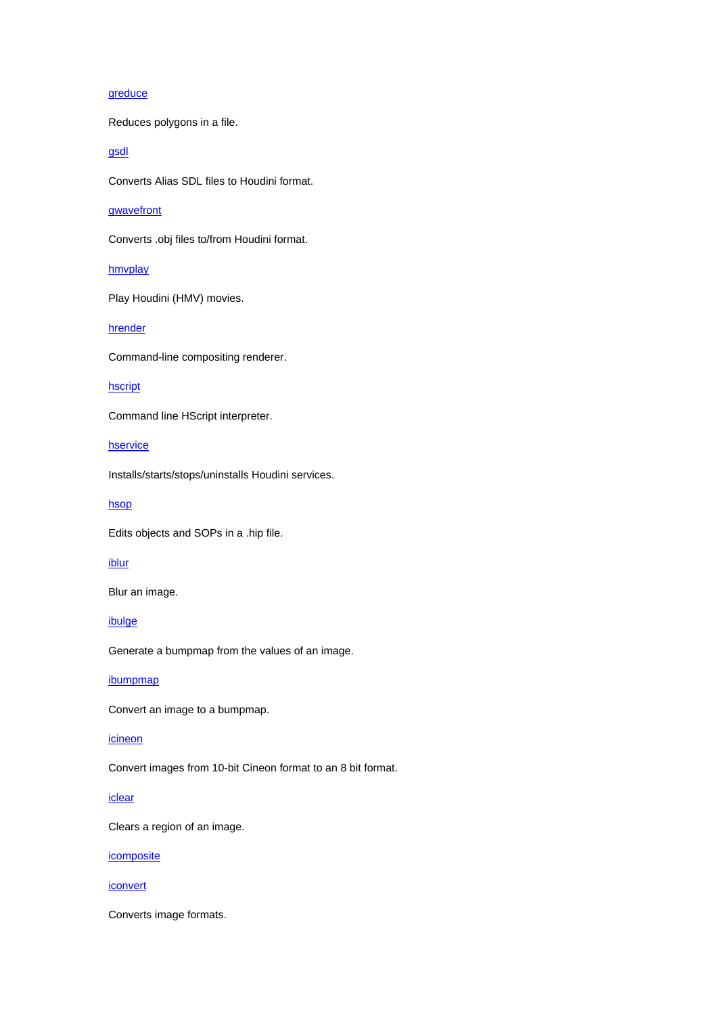# greduce

Reduces polygons in a file.

gsdl

Converts Alias SDL files to Houdini format.

## gwavefront

Converts .obj files to/from Houdini format.

### hmvplay

Play Houdini (HMV) movies.

#### hrender

Command-line compositing renderer.

### hscript

Command line HScript interpreter.

**hservice** 

Installs/starts/stops/uninstalls Houdini services.

hsop

Edits objects and SOPs in a .hip file.

# iblur

Blur an image.

ibulge

Generate a bumpmap from the values of an image.

# ibumpmap

Convert an image to a bumpmap.

## icineon

Convert images from 10-bit Cineon format to an 8 bit format.

### iclear

Clears a region of an image.

**icomposite** 

#### iconvert

Converts image formats.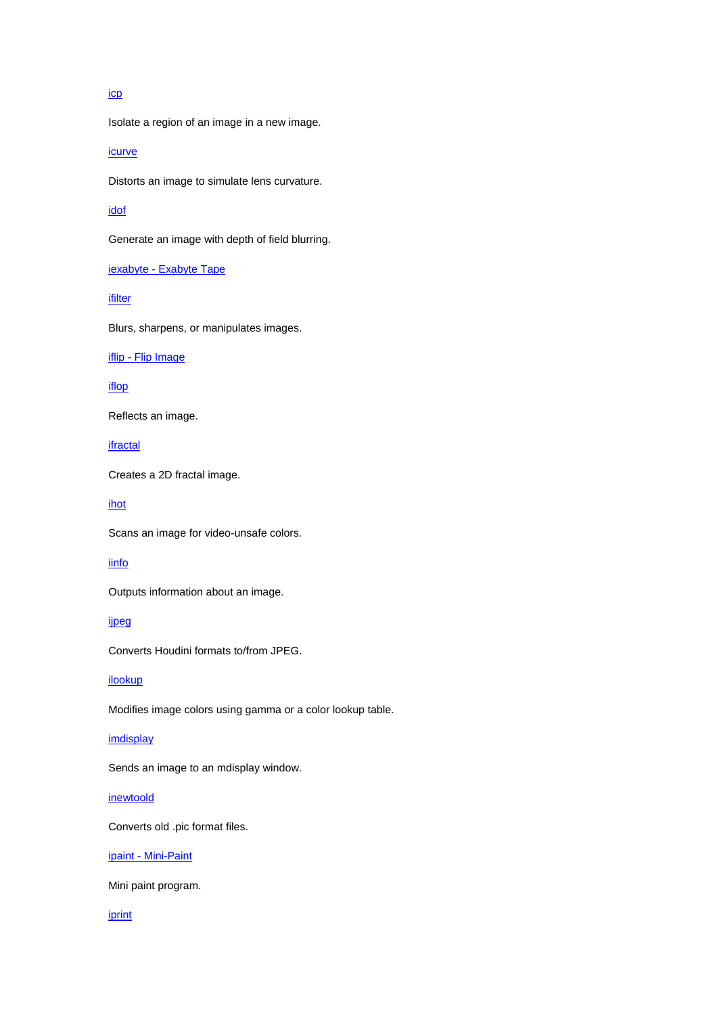## icp

Isolate a region of an image in a new image.

icurve

Distorts an image to simulate lens curvature.

## idof

Generate an image with depth of field blurring.

iexabyte - Exabyte Tape

ifilter

Blurs, sharpens, or manipulates images.

iflip - Flip Image

iflop

Reflects an image.

ifractal

Creates a 2D fractal image.

ihot

Scans an image for video-unsafe colors.

# iinfo

Outputs information about an image.

ijpeg

Converts Houdini formats to/from JPEG.

# ilookup

Modifies image colors using gamma or a color lookup table.

## imdisplay

Sends an image to an mdisplay window.

# inewtoold

Converts old .pic format files.

ipaint - Mini-Paint

Mini paint program.

#### iprint